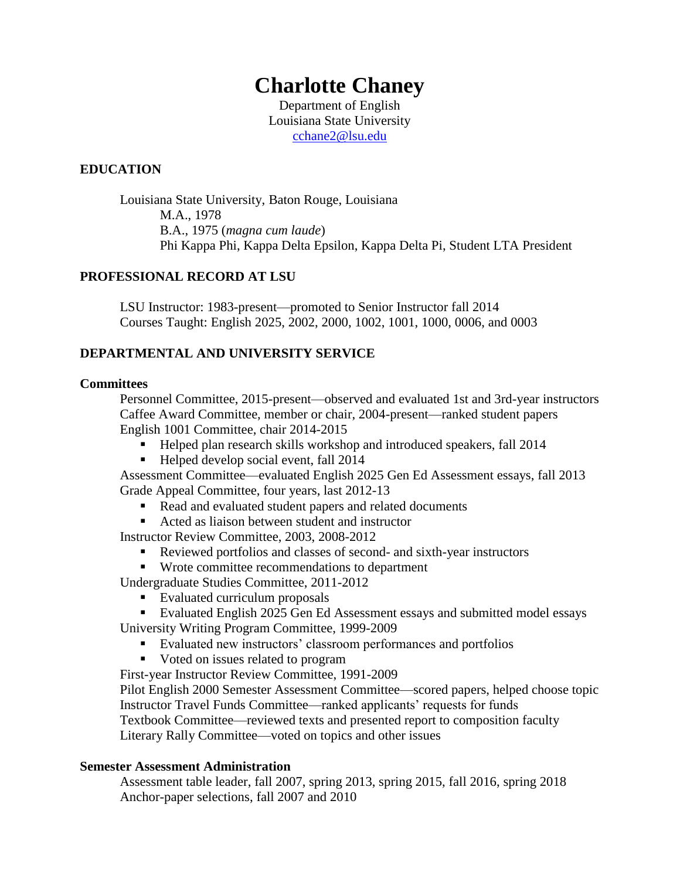# **Charlotte Chaney**

Department of English Louisiana State University [cchane2@lsu.edu](mailto:cchane2@lsu.edu)

# **EDUCATION**

Louisiana State University, Baton Rouge, Louisiana M.A., 1978 B.A., 1975 (*magna cum laude*) Phi Kappa Phi, Kappa Delta Epsilon, Kappa Delta Pi, Student LTA President

# **PROFESSIONAL RECORD AT LSU**

LSU Instructor: 1983-present—promoted to Senior Instructor fall 2014 Courses Taught: English 2025, 2002, 2000, 1002, 1001, 1000, 0006, and 0003

# **DEPARTMENTAL AND UNIVERSITY SERVICE**

# **Committees**

Personnel Committee, 2015-present—observed and evaluated 1st and 3rd-year instructors Caffee Award Committee, member or chair, 2004-present—ranked student papers English 1001 Committee, chair 2014-2015

- Helped plan research skills workshop and introduced speakers, fall 2014
- Helped develop social event, fall 2014

Assessment Committee—evaluated English 2025 Gen Ed Assessment essays, fall 2013 Grade Appeal Committee, four years, last 2012-13

- Read and evaluated student papers and related documents
- Acted as liaison between student and instructor

Instructor Review Committee, 2003, 2008-2012

Reviewed portfolios and classes of second- and sixth-year instructors

Wrote committee recommendations to department

- Undergraduate Studies Committee, 2011-2012
	- Evaluated curriculum proposals
	- Evaluated English 2025 Gen Ed Assessment essays and submitted model essays

University Writing Program Committee, 1999-2009

- Evaluated new instructors' classroom performances and portfolios
- Voted on issues related to program
- First-year Instructor Review Committee, 1991-2009

Pilot English 2000 Semester Assessment Committee—scored papers, helped choose topic Instructor Travel Funds Committee—ranked applicants' requests for funds Textbook Committee—reviewed texts and presented report to composition faculty

Literary Rally Committee—voted on topics and other issues

# **Semester Assessment Administration**

Assessment table leader, fall 2007, spring 2013, spring 2015, fall 2016, spring 2018 Anchor-paper selections, fall 2007 and 2010